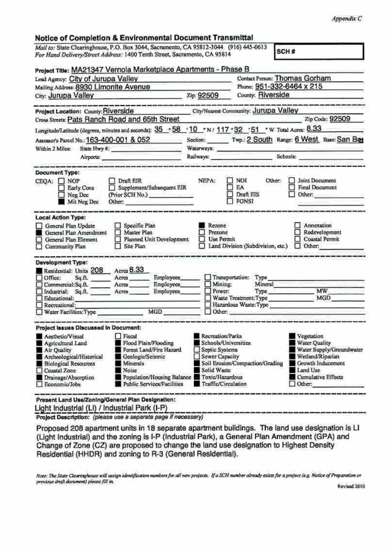## Notice of Completion & Environmental Document Transmittal

Mall to: State Clearinghouse, P.O. Box 3044, Sacramento, CA 95812-3044 (916) 445-0613 SCH# For Hand Delivery/Street Address: 1400 Tenth Street, Sacramento, CA 95814

| Lead Agency: City of Jurupa Valley                                                                                                                                                                                                                                                                                                                                         | Project Title: MA21347 Vernola Marketplace Apartments - Phase B<br>Contact Person: Thomas Gorham |                                                                                                                                                       |                                                                          |                                                                                                                                                            |
|----------------------------------------------------------------------------------------------------------------------------------------------------------------------------------------------------------------------------------------------------------------------------------------------------------------------------------------------------------------------------|--------------------------------------------------------------------------------------------------|-------------------------------------------------------------------------------------------------------------------------------------------------------|--------------------------------------------------------------------------|------------------------------------------------------------------------------------------------------------------------------------------------------------|
| Mailing Address: 8930 Limonite Avenue                                                                                                                                                                                                                                                                                                                                      |                                                                                                  | Phone: 951-332-6464 x 215<br>County: Riverside                                                                                                        |                                                                          |                                                                                                                                                            |
| City: Jurupa Valley<br>and the control of the control of the control of the control of                                                                                                                                                                                                                                                                                     |                                                                                                  |                                                                                                                                                       |                                                                          | Zip: 92509                                                                                                                                                 |
| Project Location: County: Riverside                                                                                                                                                                                                                                                                                                                                        |                                                                                                  |                                                                                                                                                       | City/Nearest Community: Jurupa Valley                                    |                                                                                                                                                            |
| Cross Streets: Pats Ranch Road and 65th Street                                                                                                                                                                                                                                                                                                                             |                                                                                                  |                                                                                                                                                       |                                                                          | Zip Code: 92509                                                                                                                                            |
| Longitude/Latitude (degrees, minutes and seconds): 35 . 58 . 10 . N/ 117 . 32 . 51 . W Total Acres: 8.33                                                                                                                                                                                                                                                                   |                                                                                                  |                                                                                                                                                       |                                                                          |                                                                                                                                                            |
| Assessor's Parcel No.: 163-400-001 & 052<br>Within 2 Miles: State Hwy #:                                                                                                                                                                                                                                                                                                   |                                                                                                  | Section: Twp.: 2 South Range: 6 West Base: San Bes                                                                                                    |                                                                          |                                                                                                                                                            |
|                                                                                                                                                                                                                                                                                                                                                                            |                                                                                                  |                                                                                                                                                       |                                                                          |                                                                                                                                                            |
| Airports:                                                                                                                                                                                                                                                                                                                                                                  |                                                                                                  |                                                                                                                                                       |                                                                          |                                                                                                                                                            |
| <b>Document Type:</b><br>CEQA: □ NOP<br>Early Cons<br>Neg Dec<br>Mit Neg Dec                                                                                                                                                                                                                                                                                               | $\Box$ Draft EIR<br>Supplement/Subsequent EIR<br>(Prior SCH No.)<br>Other:                       | <b>NEPA:</b>                                                                                                                                          | $\Box$ Not<br>Other:<br><b>FI EA</b><br><b>Draft HIS</b><br>$\Box$ FONSI | 1 Joint Document<br>Final Document<br>Other: $\Box$                                                                                                        |
| <b>Local Action Type:</b><br>General Plan Update<br>General Plan Amendment<br>General Plan Element<br>ŧ₹<br>Community Plan                                                                                                                                                                                                                                                 | Specific Plan<br>Master Plan<br>Planned Unit Development<br>Site Plan                            | Rezone<br><b>Prezone</b><br>Use Permit<br>u                                                                                                           | Land Division (Subdivision, etc.) <a>[C]</a> Other:                      | Annexation<br>Redevelopment<br>Coastal Permit                                                                                                              |
| <b>Development Type:</b>                                                                                                                                                                                                                                                                                                                                                   |                                                                                                  |                                                                                                                                                       |                                                                          |                                                                                                                                                            |
| Residential: Units 208 Acres 8.33<br>$\Box$ Office:<br>Commercial:Sq.ft. _______ Acres ________ Employees<br>Industrial; Sq.ft. Acres Employees<br>Educational:<br>Recreational:<br>□ Recreational:<br>□ Water Facilities:Type MGD MGD                                                                                                                                     | Employees<br>and the control of the control of the control of the control of the control of      | $\Box$ Mining:<br>$\Box$ Power:                                                                                                                       | Transportation: Type<br>Mineral<br>$\Box$ Other:                         | Type MW_<br>Waste Treatment Type MGD<br>Hazardous Waste: Type                                                                                              |
| Project Issues Discussed in Document:                                                                                                                                                                                                                                                                                                                                      |                                                                                                  |                                                                                                                                                       |                                                                          |                                                                                                                                                            |
| <b>Fiscal</b><br>Acathetic/Visual<br>Flood Plain/Flooding<br>Agricultural Land<br>Forest Land/Fire Hazard<br>Air Quality<br>Archeological/Historical<br>Geologic/Seismic<br><b>Biological Resources</b><br><b>Minerals</b><br>Coastal Zone<br>Noise<br>Population/Housing Balance Toxic/Hazardous<br>Drainage/Absorption<br>Public Services/Facilities<br>El Economic/Jobs |                                                                                                  | Recreation/Parks<br>Schools/Universities<br>Septic Systems<br>Sewer Capacity<br>Soil Erosion/Compaction/Grading<br>Solid Waste<br>Traffic/Circulation |                                                                          | Vegetation<br><b>Water Quality</b><br>Water Supply/Groundwater<br>Wetland/Riparian<br><b>Crowth Inducement</b><br>Land Use<br>Cumulative Effects<br>Other. |

Light Industrial (LI) / Industrial Park (I-P) Project Description: (please use a separate page if necessary)

Proposed 208 apartment units in 18 separate apartment buildings. The land use designation is LI (Light Industrial) and the zoning is I-P (Industrial Park), a General Plan Amendment (GPA) and Change of Zone (CZ) are proposed to change the land use designation to Highest Density Residential (HHDR) and zoning to R-3 (General Residential).

Note: The State Clearinghouse will antign identification numbers for all new projects. If a SCH number already exists for a project (e.g. Notice of Preparation or previous draft document) please fill in

Revised 2010